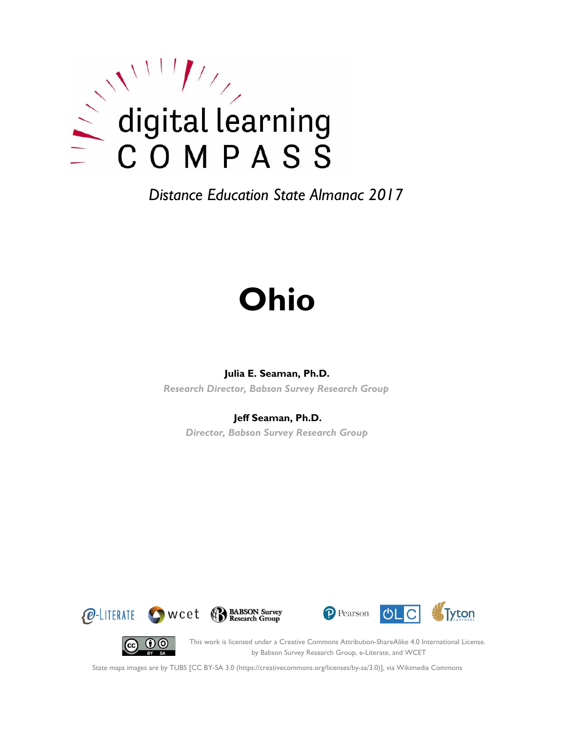

# **Ohio**

#### **Julia E. Seaman, Ph.D.**

*Research Director, Babson Survey Research Group*

#### **Jeff Seaman, Ph.D.**

*Director, Babson Survey Research Group*







 $(c)$ 

This work is licensed under a Creative Commons Attribution-ShareAlike 4.0 International License. by Babson Survey Research Group, e-Literate, and WCET

State maps images are by TUBS [CC BY-SA 3.0 (https://creativecommons.org/licenses/by-sa/3.0)], via Wikimedia Commons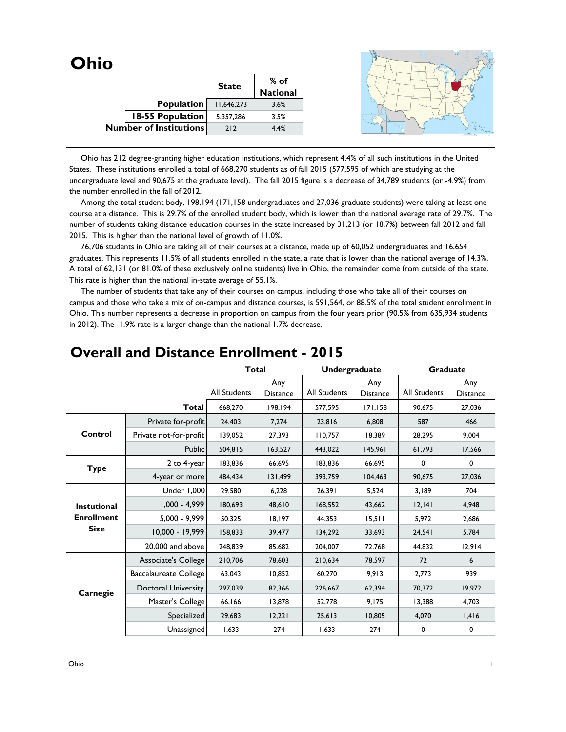| <b>Ohio</b> |                               |              |                  |  |
|-------------|-------------------------------|--------------|------------------|--|
|             |                               | <b>State</b> | % of<br>National |  |
|             |                               |              |                  |  |
|             | Population                    | 11,646,273   | 3.6%             |  |
|             | 18-55 Population              | 5,357,286    | 3.5%             |  |
|             | <b>Number of Institutions</b> | 212          | 4.4%             |  |
|             |                               |              |                  |  |

 Ohio has 212 degree-granting higher education institutions, which represent 4.4% of all such institutions in the United States. These institutions enrolled a total of 668,270 students as of fall 2015 (577,595 of which are studying at the undergraduate level and 90,675 at the graduate level). The fall 2015 figure is a decrease of 34,789 students (or -4.9%) from the number enrolled in the fall of 2012.

 Among the total student body, 198,194 (171,158 undergraduates and 27,036 graduate students) were taking at least one course at a distance. This is 29.7% of the enrolled student body, which is lower than the national average rate of 29.7%. The number of students taking distance education courses in the state increased by 31,213 (or 18.7%) between fall 2012 and fall 2015. This is higher than the national level of growth of 11.0%.

 76,706 students in Ohio are taking all of their courses at a distance, made up of 60,052 undergraduates and 16,654 graduates. This represents 11.5% of all students enrolled in the state, a rate that is lower than the national average of 14.3%. A total of 62,131 (or 81.0% of these exclusively online students) live in Ohio, the remainder come from outside of the state. This rate is higher than the national in-state average of 55.1%.

 The number of students that take any of their courses on campus, including those who take all of their courses on campus and those who take a mix of on-campus and distance courses, is 591,564, or 88.5% of the total student enrollment in Ohio. This number represents a decrease in proportion on campus from the four years prior (90.5% from 635,934 students in 2012). The -1.9% rate is a larger change than the national 1.7% decrease.

|                    |                        | <b>Total</b>        |                        | Undergraduate |                        | <b>Graduate</b> |                        |
|--------------------|------------------------|---------------------|------------------------|---------------|------------------------|-----------------|------------------------|
|                    |                        | <b>All Students</b> | Any<br><b>Distance</b> | All Students  | Any<br><b>Distance</b> | All Students    | Any<br><b>Distance</b> |
|                    | <b>Total</b>           | 668,270             | 198.194                | 577,595       | 171,158                | 90,675          | 27,036                 |
|                    | Private for-profit     | 24,403              | 7,274                  | 23,816        | 6,808                  | 587             | 466                    |
| Control            | Private not-for-profit | 139,052             | 27,393                 | 110,757       | 18,389                 | 28,295          | 9,004                  |
|                    | <b>Public</b>          | 504,815             | 163,527                | 443,022       | 145,961                | 61,793          | 17,566                 |
| <b>Type</b>        | 2 to 4-year            | 183,836             | 66,695                 | 183,836       | 66,695                 | 0               | 0                      |
|                    | 4-year or more         | 484,434             | 131,499                | 393,759       | 104,463                | 90,675          | 27,036                 |
|                    | Under 1,000            | 29,580              | 6,228                  | 26,391        | 5,524                  | 3,189           | 704                    |
| <b>Instutional</b> | $1,000 - 4,999$        | 180,693             | 48,610                 | 168,552       | 43,662                 | 12,141          | 4,948                  |
| <b>Enrollment</b>  | $5,000 - 9,999$        | 50,325              | 18,197                 | 44,353        | 15,511                 | 5,972           | 2,686                  |
| <b>Size</b>        | 10.000 - 19.999        | 158,833             | 39,477                 | 134.292       | 33,693                 | 24,541          | 5,784                  |
|                    | 20,000 and above       | 248,839             | 85,682                 | 204,007       | 72,768                 | 44,832          | 12,914                 |
|                    | Associate's College    | 210,706             | 78,603                 | 210,634       | 78,597                 | 72              | 6                      |
|                    | Baccalaureate College  | 63,043              | 10,852                 | 60,270        | 9,913                  | 2,773           | 939                    |
| Carnegie           | Doctoral University    | 297,039             | 82,366                 | 226,667       | 62,394                 | 70,372          | 19,972                 |
|                    | Master's College       | 66,166              | 13,878                 | 52,778        | 9,175                  | 13,388          | 4,703                  |
|                    | Specialized            | 29,683              | 12,221                 | 25,613        | 10,805                 | 4,070           | 1,416                  |
|                    | Unassigned             | 1,633               | 274                    | 1,633         | 274                    | 0               | 0                      |

#### **Overall and Distance Enrollment - 2015**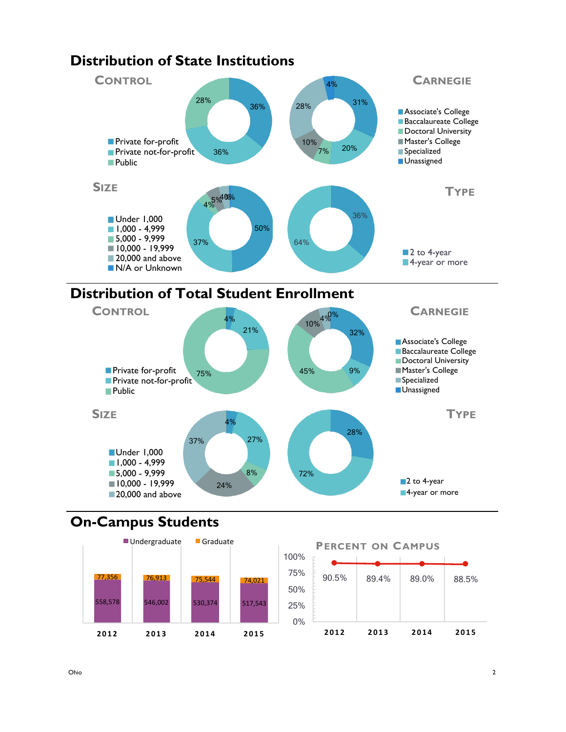

# **Distribution of Total Student Enrollment**



## **On-Campus Students**



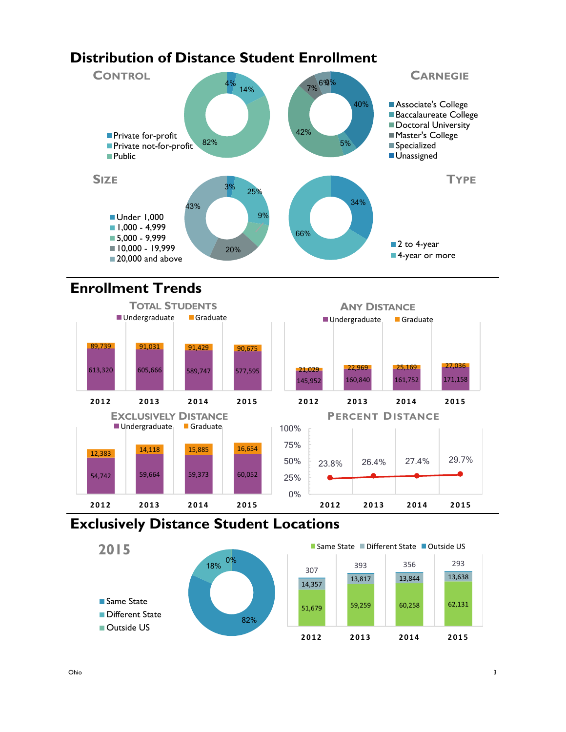## **Distribution of Distance Student Enrollment**



## **Enrollment Trends**



## **Exclusively Distance Student Locations**